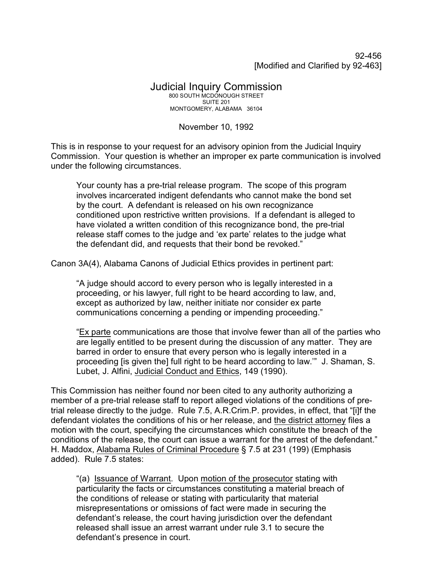92-456 [Modified and Clarified by 92-463]

## Judicial Inquiry Commission 800 SOUTH MCDONOUGH STREET SUITE 201 MONTGOMERY, ALABAMA 36104

## November 10, 1992

This is in response to your request for an advisory opinion from the Judicial Inquiry Commission. Your question is whether an improper ex parte communication is involved under the following circumstances.

Your county has a pre-trial release program. The scope of this program involves incarcerated indigent defendants who cannot make the bond set by the court. A defendant is released on his own recognizance conditioned upon restrictive written provisions. If a defendant is alleged to have violated a written condition of this recognizance bond, the pre-trial release staff comes to the judge and 'ex parte' relates to the judge what the defendant did, and requests that their bond be revoked."

Canon 3A(4), Alabama Canons of Judicial Ethics provides in pertinent part:

"A judge should accord to every person who is legally interested in a proceeding, or his lawyer, full right to be heard according to law, and, except as authorized by law, neither initiate nor consider ex parte communications concerning a pending or impending proceeding."

"Ex parte communications are those that involve fewer than all of the parties who are legally entitled to be present during the discussion of any matter. They are barred in order to ensure that every person who is legally interested in a proceeding [is given the] full right to be heard according to law.'" J. Shaman, S. Lubet, J. Alfini, Judicial Conduct and Ethics, 149 (1990).

This Commission has neither found nor been cited to any authority authorizing a member of a pre-trial release staff to report alleged violations of the conditions of pretrial release directly to the judge. Rule 7.5, A.R.Crim.P. provides, in effect, that "[i]f the defendant violates the conditions of his or her release, and the district attorney files a motion with the court, specifying the circumstances which constitute the breach of the conditions of the release, the court can issue a warrant for the arrest of the defendant." H. Maddox, Alabama Rules of Criminal Procedure § 7.5 at 231 (199) (Emphasis added). Rule 7.5 states:

"(a) Issuance of Warrant. Upon motion of the prosecutor stating with particularity the facts or circumstances constituting a material breach of the conditions of release or stating with particularity that material misrepresentations or omissions of fact were made in securing the defendant's release, the court having jurisdiction over the defendant released shall issue an arrest warrant under rule 3.1 to secure the defendant's presence in court.